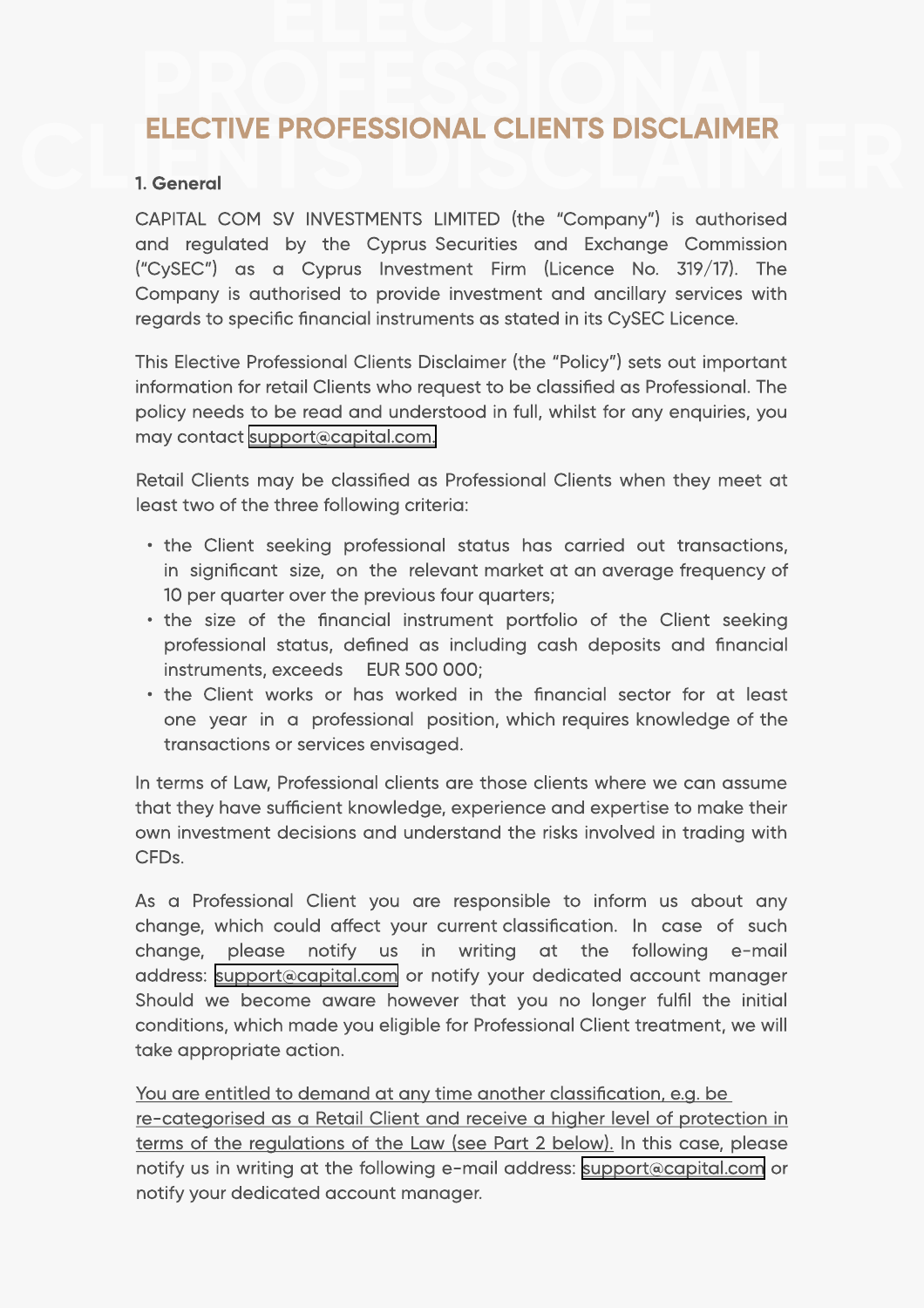## Elective Professional Clients Disclaimer

## 1. General

CAPITAL COM SV INVESTMENTS LIMITED (the "Company") is authorised and regulated by the Cyprus Securities and Exchange Commission ("CySEC") as a Cyprus Investment Firm (Licence No. 319/17). The Company is authorised to provide investment and ancillary services with regards to specific financial instruments as stated in its CySEC Licence.

This Elective Professional Clients Disclaimer (the "Policy") sets out important information for retail Clients who request to be classified as Professional. The policy needs to be read and understood in full, whilst for any enquiries, you may contact [support@capital.com.](mailto:support@capital.com) 

Retail Clients may be classified as Professional Clients when they meet at least two of the three following criteria:

- $\cdot$  the Client seeking professional status has carried out transactions, in significant size, on the relevant market at an average frequency of 10 per quarter over the previous four quarters;
- $\cdot$  the size of the financial instrument portfolio of the Client seeking professional status, defined as including cash deposits and financial instruments, exceeds EUR 500 000;
- the Client works or has worked in the financial sector for at least one year in a professional position, which requires knowledge of the transactions or services envisaged.

In terms of Law, Professional clients are those clients where we can assume that they have sufficient knowledge, experience and expertise to make their own investment decisions and understand the risks involved in trading with CFDs. l,

As a Professional Client you are responsible to inform us about any change, which could affect your current classification. In case of such change, please notify us in writing at the following e-mail address: [support@capital.com](mailto:support@capital.com) or notify your dedicated account manager Should we become aware however that you no longer fulfil the initial conditions, which made you eligible for Professional Client treatment, we will take appropriate action.

You are entitled to demand at any time another classification, e.g. be re-categorised as a Retail Client and receive a higher level of protection in terms of the regulations of the Law (see Part 2 below). In this case, please notify us in writing at the following e-mail address: [support@capital.com](mailto:support@capital.com) or notify your dedicated account manager.